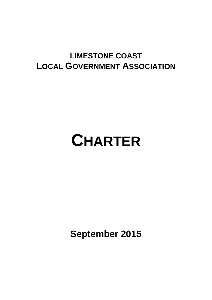# **LIMESTONE COAST LOCAL GOVERNMENT ASSOCIATION**

# **CHARTER**

**September 2015**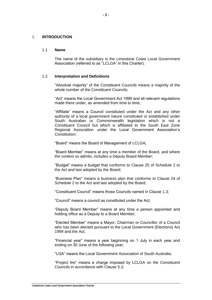#### 1. **INTRODUCTION**

#### 1.1 **Name**

The name of the subsidiary is the Limestone Coast Local Government Association (referred to as "LCLGA" in this Charter).

# 1.2 **Interpretation and Definitions**

"Absolute majority" of the Constituent Councils means a majority of the whole number of the Constituent Councils;

"Act" means the Local Government Act 1999 and all relevant regulations made there under, as amended from time to time;

"Affiliate" means a Council constituted under the Act and any other authority of a local government nature constituted or established under South Australian or Commonwealth legislation which is not a Constituent Council but which is affiliated to the South East Zone Regional Association under the Local Government Association's Constitution;

"Board" means the Board of Management of LCLGA;

"Board Member" means at any time a member of the Board, and where the context so admits, includes a Deputy Board Member;

"Budget" means a budget that conforms to Clause 25 of Schedule 2 to the Act and last adopted by the Board;

"Business Plan" means a business plan that conforms to Clause 24 of Schedule 2 to the Act and last adopted by the Board;

"Constituent Council" means those Councils named in Clause [1.3;](#page-2-0)

"Council" means a council as constituted under the Act;

"Deputy Board Member" means at any time a person appointed and holding office as a Deputy to a Board Member;

"Elected Member" means a Mayor, Chairman or Councillor of a Council who has been elected pursuant to the Local Government (Elections) Act 1999 and the Act;

"Financial year" means a year beginning on 1 July in each year and ending on 30 June of the following year;

"LGA" means the Local Government Association of South Australia;

"Project fee" means a charge imposed by LCLGA on the Constituent Councils in accordance with Clause 5.2;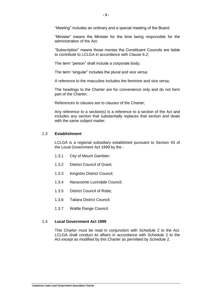"Meeting" includes an ordinary and a special meeting of the Board;

"Minister" means the Minister for the time being responsible for the administration of the Act;

"Subscription" means those monies the Constituent Councils are liable to contribute to LCLGA in accordance with Clause 6.2;

The term "person" shall include a corporate body;

The term "singular" includes the plural and vice versa;

A reference to the masculine includes the feminine and vice versa;

The headings to the Charter are for convenience only and do not form part of the Charter;

References to clauses are to clauses of the Charter;

Any reference to a section(s) is a reference to a section of the Act and includes any section that substantially replaces that section and deals with the same subject matter.

#### <span id="page-2-0"></span>1.3 **Establishment**

LCLGA is a regional subsidiary established pursuant to Section 43 of the Local Government Act 1999 by the -

- 1.3.1 City of Mount Gambier;
- 1.3.2 District Council of Grant;
- 1.3.3 Kingston District Council;
- 1.3.4 Naracoorte Lucindale Council;
- 1.3.5 District Council of Robe;
- 1.3.6 Tatiara District Council;
- 1.3.7 Wattle Range Council.

# 1.4 **Local Government Act 1999**

This Charter must be read in conjunction with Schedule 2 to the Act. LCLGA shall conduct its affairs in accordance with Schedule 2 to the Act except as modified by this Charter as permitted by Schedule 2.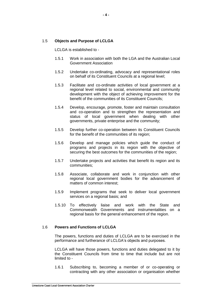### 1.5 **Objects and Purpose of LCLGA**

LCLGA is established to -

- 1.5.1 Work in association with both the LGA and the Australian Local Government Association
- 1.5.2 Undertake co-ordinating, advocacy and representational roles on behalf of its Constituent Councils at a regional level;
- 1.5.3 Facilitate and co-ordinate activities of local government at a regional level related to social, environmental and community development with the object of achieving improvement for the benefit of the communities of its Constituent Councils;
- 1.5.4 Develop, encourage, promote, foster and maintain consultation and co-operation and to strengthen the representation and status of local government when dealing with other governments, private enterprise and the community;
- 1.5.5 Develop further co-operation between its Constituent Councils for the benefit of the communities of its region;
- 1.5.6 Develop and manage policies which guide the conduct of programs and projects in its region with the objective of securing the best outcomes for the communities of the region;
- 1.5.7 Undertake projects and activities that benefit its region and its communities;
- 1.5.8 Associate, collaborate and work in conjunction with other regional local government bodies for the advancement of matters of common interest;
- 1.5.9 Implement programs that seek to deliver local government services on a regional basis; and
- 1.5.10 To effectively liaise and work with the State and Commonwealth Governments and instrumentalities on a regional basis for the general enhancement of the region.

#### 1.6 **Powers and Functions of LCLGA**

The powers, functions and duties of LCLGA are to be exercised in the performance and furtherance of LCLGA's objects and purposes.

LCLGA will have those powers, functions and duties delegated to it by the Constituent Councils from time to time that include but are not limited to -

1.6.1 Subscribing to, becoming a member of or co-operating or contracting with any other association or organisation whether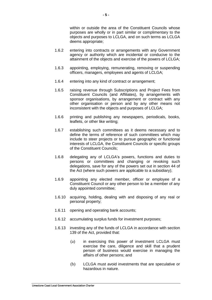within or outside the area of the Constituent Councils whose purposes are wholly or in part similar or complimentary to the objects and purposes to LCLGA, and on such terms as LCLGA deems appropriate;

- 1.6.2 entering into contracts or arrangements with any Government agency or authority which are incidental or conducive to the attainment of the objects and exercise of the powers of LCLGA;
- 1.6.3 appointing, employing, remunerating, removing or suspending officers, managers, employees and agents of LCLGA;
- 1.6.4 entering into any kind of contract or arrangement;
- 1.6.5 raising revenue through Subscriptions and Project Fees from Constituent Councils (and Affiliates), by arrangements with sponsor organisations, by arrangement or contract with any other organisation or person and by any other means not inconsistent with the objects and purposes of LCLGA;
- 1.6.6 printing and publishing any newspapers, periodicals, books, leaflets, or other like writing;
- 1.6.7 establishing such committees as it deems necessary and to define the terms of reference of such committees which may include to steer projects or to pursue geographic or functional interests of LCLGA, the Constituent Councils or specific groups of the Constituent Councils;
- 1.6.8 delegating any of LCLGA's powers, functions and duties to persons or committees and changing or revoking such delegations, save for any of the powers set out in section 44 of the Act (where such powers are applicable to a subsidiary);
- 1.6.9 appointing any elected member, officer or employee of a Constituent Council or any other person to be a member of any duly appointed committee;
- 1.6.10 acquiring, holding, dealing with and disposing of any real or personal property;
- 1.6.11 opening and operating bank accounts;
- 1.6.12 accumulating surplus funds for investment purposes;
- 1.6.13 investing any of the funds of LCLGA in accordance with section 139 of the Act, provided that:
	- (a) in exercising this power of investment LCLGA must exercise the care, diligence and skill that a prudent person of business would exercise in managing the affairs of other persons; and
	- (b) LCLGA must avoid investments that are speculative or hazardous in nature.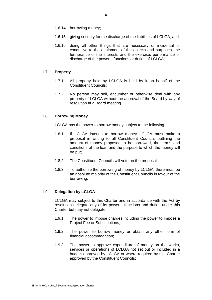- 1.6.14 borrowing money;
- 1.6.15 giving security for the discharge of the liabilities of LCLGA; and
- 1.6.16 doing all other things that are necessary or incidental or conducive to the attainment of the objects and purposes, the furtherance of the interests and the exercise, performance or discharge of the powers, functions or duties of LCLGA;

#### 1.7 **Property**

- 1.7.1 All property held by LCLGA is held by it on behalf of the Constituent Councils;
- 1.7.2 No person may sell, encumber or otherwise deal with any property of LCLGA without the approval of the Board by way of resolution at a Board meeting.

#### 1.8 **Borrowing Money**

LCLGA has the power to borrow money subject to the following.

- 1.8.1 If LCLGA intends to borrow money LCLGA must make a proposal in writing to all Constituent Councils outlining the amount of money proposed to be borrowed, the terms and conditions of the loan and the purpose to which the money will be put;
- 1.8.2 The Constituent Councils will vote on the proposal;
- 1.8.3 To authorise the borrowing of money by LCLGA, there must be an absolute majority of the Constituent Councils in favour of the borrowing.

# 1.9 **Delegation by LCLGA**

LCLGA may subject to this Charter and in accordance with the Act by resolution delegate any of its powers, functions and duties under this Charter but may not delegate:

- 1.9.1 The power to impose charges including the power to impose a Project Fee or Subscriptions;
- 1.9.2 The power to borrow money or obtain any other form of financial accommodation;
- 1.9.3 The power to approve expenditure of money on the works, services or operations of LCLGA not set out or included in a budget approved by LCLGA or where required by this Charter approved by the Constituent Councils;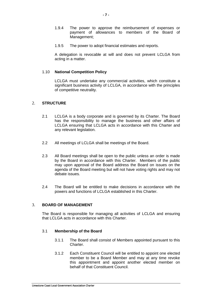- 1.9.4 The power to approve the reimbursement of expenses or payment of allowances to members of the Board of Management;
- 1.9.5 The power to adopt financial estimates and reports.

A delegation is revocable at will and does not prevent LCLGA from acting in a matter.

#### 1.10 **National Competition Policy**

LCLGA must undertake any commercial activities, which constitute a significant business activity of LCLGA, in accordance with the principles of competitive neutrality.

#### 2. **STRUCTURE**

- 2.1 LCLGA is a body corporate and is governed by its Charter. The Board has the responsibility to manage the business and other affairs of LCLGA ensuring that LCLGA acts in accordance with this Charter and any relevant legislation.
- 2.2 All meetings of LCLGA shall be meetings of the Board.
- 2.3 All Board meetings shall be open to the public unless an order is made by the Board in accordance with this Charter. Members of the public may upon approval of the Board address the Board on issues on the agenda of the Board meeting but will not have voting rights and may not debate issues.
- 2.4 The Board will be entitled to make decisions in accordance with the powers and functions of LCLGA established in this Charter.

# 3. **BOARD OF MANAGEMENT**

The Board is responsible for managing all activities of LCLGA and ensuring that LCLGA acts in accordance with this Charter.

#### 3.1 **Membership of the Board**

- 3.1.1 The Board shall consist of Members appointed pursuant to this Charter.
- <span id="page-6-0"></span>3.1.2 Each Constituent Council will be entitled to appoint one elected member to be a Board Member and may at any time revoke this appointment and appoint another elected member on behalf of that Constituent Council.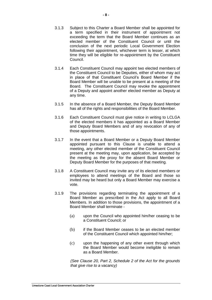- 3.1.3 Subject to this Charter a Board Member shall be appointed for a term specified in their instrument of appointment not exceeding the term that the Board Member continues as an elected member of the Constituent Council or until the conclusion of the next periodic Local Government Election following their appointment, whichever term is lesser, at which time they will be eligible for re-appointment by the Constituent Council.
- 3.1.4 Each Constituent Council may appoint two elected members of the Constituent Council to be Deputies, either of whom may act in place of that Constituent Council's Board Member if the Board Member will be unable to be present at a meeting of the Board. The Constituent Council may revoke the appointment of a Deputy and appoint another elected member as Deputy at any time.
- 3.1.5 In the absence of a Board Member, the Deputy Board Member has all of the rights and responsibilities of the Board Member.
- 3.1.6 Each Constituent Council must give notice in writing to LCLGA of the elected members it has appointed as a Board Member and Deputy Board Members and of any revocation of any of those appointments.
- 3.1.7 In the event that a Board Member or a Deputy Board Member appointed pursuant to this Clause is unable to attend a meeting, any other elected member of the Constituent Council present at the meeting may, upon application, be accepted by the meeting as the proxy for the absent Board Member or Deputy Board Member for the purposes of that meeting.
- 3.1.8 A Constituent Council may invite any of its elected members or employees to attend meetings of the Board and those so invited may be heard but only a Board Member may exercise a vote.
- 3.1.9 The provisions regarding terminating the appointment of a Board Member as prescribed in the Act apply to all Board Members. In addition to those provisions, the appointment of a Board Member shall terminate -
	- (a) upon the Council who appointed him/her ceasing to be a Constituent Council; or
	- (b) if the Board Member ceases to be an elected member of the Constituent Council which appointed him/her;
	- (c) upon the happening of any other event through which the Board Member would become ineligible to remain as a Board Member.

*(See Clause 20, Part 2, Schedule 2 of the Act for the grounds that give rise to a vacancy)*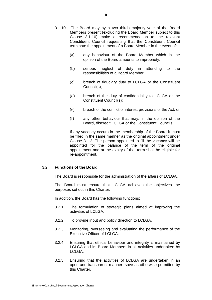- 3.1.10 The Board may by a two thirds majority vote of the Board Members present (excluding the Board Member subject to this Clause 3.1.10) make a recommendation to the relevant Constituent Council requesting that the Constituent Council terminate the appointment of a Board Member in the event of:
	- (a) any behaviour of the Board Member which in the opinion of the Board amounts to impropriety;
	- (b) serious neglect of duty in attending to the responsibilities of a Board Member;
	- (c) breach of fiduciary duty to LCLGA or the Constituent Council(s);
	- (d) breach of the duty of confidentiality to LCLGA or the Constituent Council(s);
	- (e) breach of the conflict of interest provisions of the Act; or
	- (f) any other behaviour that may, in the opinion of the Board, discredit LCLGA or the Constituent Councils.

If any vacancy occurs in the membership of the Board it must be filled in the same manner as the original appointment under Clause [3.1.2.](#page-6-0) The person appointed to fill the vacancy will be appointed for the balance of the term of the original appointment and at the expiry of that term shall be eligible for re-appointment.

#### 3.2 **Functions of the Board**

The Board is responsible for the administration of the affairs of LCLGA.

The Board must ensure that LCLGA achieves the objectives the purposes set out in this Charter.

In addition, the Board has the following functions:

- 3.2.1 The formulation of strategic plans aimed at improving the activities of LCLGA.
- 3.2.2 To provide input and policy direction to LCLGA.
- 3.2.3 Monitoring, overseeing and evaluating the performance of the Executive Officer of LCLGA.
- 3.2.4 Ensuring that ethical behaviour and integrity is maintained by LCLGA and its Board Members in all activities undertaken by LCLGA.
- 3.2.5 Ensuring that the activities of LCLGA are undertaken in an open and transparent manner, save as otherwise permitted by this Charter.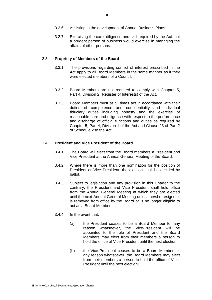- 3.2.6 Assisting in the development of Annual Business Plans.
- 3.2.7 Exercising the care, diligence and skill required by the Act that a prudent person of business would exercise in managing the affairs of other persons.

#### 3.3 **Propriety of Members of the Board**

- 3.3.1 The provisions regarding conflict of interest prescribed in the Act apply to all Board Members in the same manner as if they were elected members of a Council.
- 3.3.2 Board Members are not required to comply with Chapter 5, Part 4, Division 2 (Register of Interests) of the Act.
- 3.3.3 Board Members must at all times act in accordance with their duties of competence and confidentiality and individual fiduciary duties including honesty and the exercise of reasonable care and diligence with respect to the performance and discharge of official functions and duties as required by Chapter 5, Part 4, Division 1 of the Act and Clause 23 of Part 2 of Schedule 2 to the Act.

#### 3.4 **President and Vice President of the Board**

- 3.4.1 The Board will elect from the Board members a President and Vice President at the Annual General Meeting of the Board.
- 3.4.2 Where there is more than one nomination for the position of President or Vice President, the election shall be decided by ballot.
- 3.4.3 Subject to legislation and any provision in this Charter to the contrary, the President and Vice President shall hold office from the Annual General Meeting at which they are elected until the next Annual General Meeting unless he/she resigns or is removed from office by the Board or is no longer eligible to act as a Board Member.
- 3.4.4 In the event that:
	- (a) the President ceases to be a Board Member for any reason whatsoever, the Vice-President will be appointed to the role of President and the Board Members may elect from their members a person to hold the office of Vice-President until the next election;
	- (b) the Vice-President ceases to be a Board Member for any reason whatsoever, the Board Members may elect from their members a person to hold the office of Vice-President until the next election;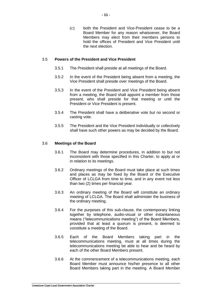(c) both the President and Vice-President cease to be a Board Member for any reason whatsoever, the Board Members may elect from their members persons to hold the offices of President and Vice President until the next election.

#### 3.5 **Powers of the President and Vice President**

- 3.5.1 The President shall preside at all meetings of the Board.
- 3.5.2 In the event of the President being absent from a meeting, the Vice President shall preside over meetings of the Board.
- 3.5.3 In the event of the President and Vice President being absent from a meeting, the Board shall appoint a member from those present, who shall preside for that meeting or until the President or Vice President is present.
- 3.5.4 The President shall have a deliberative vote but no second or casting vote.
- 3.5.5 The President and the Vice President individually or collectively shall have such other powers as may be decided by the Board.

#### 3.6 **Meetings of the Board**

- 3.6.1 The Board may determine procedures, in addition to but not inconsistent with those specified in this Charter, to apply at or in relation to its meetings.
- 3.6.2 Ordinary meetings of the Board must take place at such times and places as may be fixed by the Board or the Executive Officer of LCLGA from time to time, and in any event not less than two (2) times per financial year.
- 3.6.3 An ordinary meeting of the Board will constitute an ordinary meeting of LCLGA. The Board shall administer the business of the ordinary meeting.
- 3.6.4 For the purposes of this sub-clause, the contemporary linking together by telephone, audio-visual or other instantaneous means ("telecommunications meeting") of the Board Members, provided that at least a quorum is present, is deemed to constitute a meeting of the Board.
- 3.6.5 Each of the Board Members taking part in the telecommunications meeting, must at all times during the telecommunications meeting be able to hear and be heard by each of the other Board Members present.
- 3.6.6 At the commencement of a telecommunications meeting, each Board Member must announce his/her presence to all other Board Members taking part in the meeting. A Board Member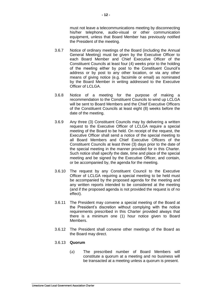must not leave a telecommunications meeting by disconnecting his/her telephone, audio-visual or other communication equipment, unless that Board Member has previously notified the President of the meeting.

- 3.6.7 Notice of ordinary meetings of the Board (including the Annual General Meeting) must be given by the Executive Officer to each Board Member and Chief Executive Officer of the Constituent Councils at least four (4) weeks prior to the holding of the meeting either by post to the Constituent Council's address or by post to any other location, or via any other means of giving notice (e.g. facsimile or email) as nominated by the Board Member in writing addressed to the Executive Officer of LCLGA.
- 3.6.8 Notice of a meeting for the purpose of making a recommendation to the Constituent Councils to wind up LCLGA will be sent to Board Members and the Chief Executive Officers of the Constituent Councils at least eight (8) weeks before the date of the meeting.
- 3.6.9 Any three (3) Constituent Councils may by delivering a written request to the Executive Officer of LCLGA require a special meeting of the Board to be held. On receipt of the request, the Executive Officer shall send a notice of the special meeting to all Board Members and Chief Executive Officers of the Constituent Councils at least three (3) days prior to the date of the special meeting in the manner provided for in this Charter. Such notice shall specify the date, time and place of the special meeting and be signed by the Executive Officer, and contain, or be accompanied by, the agenda for the meeting.
- 3.6.10 The request by any Constituent Council to the Executive Officer of LCLGA requiring a special meeting to be held must be accompanied by the proposed agenda for the meeting and any written reports intended to be considered at the meeting (and if the proposed agenda is not provided the request is of no effect).
- 3.6.11 The President may convene a special meeting of the Board at the President's discretion without complying with the notice requirements prescribed in this Charter provided always that there is a minimum one (1) hour notice given to Board Members.
- 3.6.12 The President shall convene other meetings of the Board as the Board may direct.

# 3.6.13 **Quorum**

(a) The prescribed number of Board Members will constitute a quorum at a meeting and no business will be transacted at a meeting unless a quorum is present.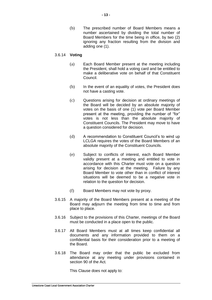(b) The prescribed number of Board Members means a number ascertained by dividing the total number of Board Members for the time being in office, by two (2) ignoring any fraction resulting from the division and adding one (1).

#### 3.6.14 **Voting**

- (a) Each Board Member present at the meeting including the President, shall hold a voting card and be entitled to make a deliberative vote on behalf of that Constituent Council.
- (b) In the event of an equality of votes, the President does not have a casting vote.
- (c) Questions arising for decision at ordinary meetings of the Board will be decided by an absolute majority of votes on the basis of one (1) vote per Board Member present at the meeting, providing the number of "for" votes is not less than the absolute majority of Constituent Councils. The President may move to have a question considered for decision.
- (d) A recommendation to Constituent Council's to wind up LCLGA requires the votes of the Board Members of an absolute majority of the Constituent Councils.
- (e) Subject to conflicts of interest, each Board Member validly present at a meeting and entitled to vote in accordance with this Charter must vote on a question arising for decision at the meeting. Failure by any Board Member to vote other than in conflict of interest situations will be deemed to be a negative vote in relation to the question for decision.
- (f) Board Members may not vote by proxy.
- 3.6.15 A majority of the Board Members present at a meeting of the Board may adjourn the meeting from time to time and from place to place.
- 3.6.16 Subject to the provisions of this Charter, meetings of the Board must be conducted in a place open to the public.
- 3.6.17 All Board Members must at all times keep confidential all documents and any information provided to them on a confidential basis for their consideration prior to a meeting of the Board.
- 3.6.18 The Board may order that the public be excluded from attendance at any meeting under provisions contained in section 90 of the Act*.*

This Clause does not apply to: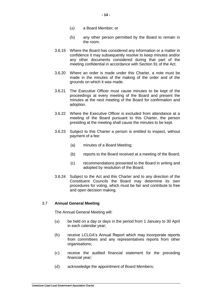- (a) a Board Member; or
- (b) any other person permitted by the Board to remain in the room.
- 3.6.19 Where the Board has considered any information or a matter in confidence it may subsequently resolve to keep minutes and/or any other documents considered during that part of the meeting confidential in accordance with Section 91 of the Act.
- 3.6.20 Where an order is made under this Charter, a note must be made in the minutes of the making of the order and of the grounds on which it was made.
- 3.6.21 The Executive Officer must cause minutes to be kept of the proceedings at every meeting of the Board and present the minutes at the next meeting of the Board for confirmation and adoption.
- 3.6.22 Where the Executive Officer is excluded from attendance at a meeting of the Board pursuant to this Charter, the person presiding at the meeting shall cause the minutes to be kept.
- 3.6.23 Subject to this Charter a person is entitled to inspect, without payment of a fee:
	- (a) minutes of a Board Meeting;
	- (b) reports to the Board received at a meeting of the Board;
	- (c) recommendations presented to the Board in writing and adopted by resolution of the Board.
- 3.6.24 Subject to the Act and this Charter and to any direction of the Constituent Councils the Board may determine its own procedures for voting, which must be fair and contribute to free and open decision making.

# 3.7 **Annual General Meeting**

The Annual General Meeting will:

- (a) be held on a day or days in the period from 1 January to 30 April in each calendar year;
- (b) receive LCLGA's Annual Report which may incorporate reports from committees and any representatives reports from other organisations;
- (c) receive the audited financial statement for the preceding financial year;
- (d) acknowledge the appointment of Board Members;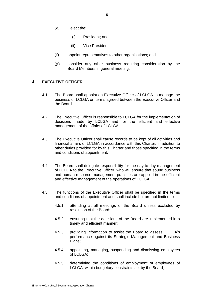- (e) elect the:
	- (i) President; and
	- (ii) Vice President;
- (f) appoint representatives to other organisations; and
- (g) consider any other business requiring consideration by the Board Members in general meeting.

# 4. **EXECUTIVE OFFICER**

- 4.1 The Board shall appoint an Executive Officer of LCLGA to manage the business of LCLGA on terms agreed between the Executive Officer and the Board.
- 4.2 The Executive Officer is responsible to LCLGA for the implementation of decisions made by LCLGA and for the efficient and effective management of the affairs of LCLGA.
- 4.3 The Executive Officer shall cause records to be kept of all activities and financial affairs of LCLGA in accordance with this Charter, in addition to other duties provided for by this Charter and those specified in the terms and conditions of appointment.
- 4.4 The Board shall delegate responsibility for the day-to-day management of LCLGA to the Executive Officer, who will ensure that sound business and human resource management practices are applied in the efficient and effective management of the operations of LCLGA.
- 4.5 The functions of the Executive Officer shall be specified in the terms and conditions of appointment and shall include but are not limited to:
	- 4.5.1 attending at all meetings of the Board unless excluded by resolution of the Board;
	- 4.5.2 ensuring that the decisions of the Board are implemented in a timely and efficient manner;
	- 4.5.3 providing information to assist the Board to assess LCLGA's performance against its Strategic Management and Business Plans;
	- 4.5.4 appointing, managing, suspending and dismissing employees of LCLGA;
	- 4.5.5 determining the conditions of employment of employees of LCLGA, within budgetary constraints set by the Board;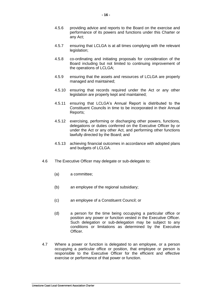- 4.5.6 providing advice and reports to the Board on the exercise and performance of its powers and functions under this Charter or any Act;
- 4.5.7 ensuring that LCLGA is at all times complying with the relevant legislation:
- 4.5.8 co-ordinating and initiating proposals for consideration of the Board including but not limited to continuing improvement of the operations of LCLGA;
- 4.5.9 ensuring that the assets and resources of LCLGA are properly managed and maintained;
- 4.5.10 ensuring that records required under the Act or any other legislation are properly kept and maintained;
- 4.5.11 ensuring that LCLGA's Annual Report is distributed to the Constituent Councils in time to be incorporated in their Annual Reports;
- 4.5.12 exercising, performing or discharging other powers, functions, delegations or duties conferred on the Executive Officer by or under the Act or any other Act, and performing other functions lawfully directed by the Board; and
- 4.5.13 achieving financial outcomes in accordance with adopted plans and budgets of LCLGA.
- 4.6 The Executive Officer may delegate or sub-delegate to:
	- (a) a committee;
	- (b) an employee of the regional subsidiary;
	- (c) an employee of a Constituent Council; or
	- (d) a person for the time being occupying a particular office or position any power or function vested in the Executive Officer. Such delegation or sub-delegation may be subject to any conditions or limitations as determined by the Executive Officer.
- 4.7 Where a power or function is delegated to an employee, or a person occupying a particular office or position, that employee or person is responsible to the Executive Officer for the efficient and effective exercise or performance of that power or function.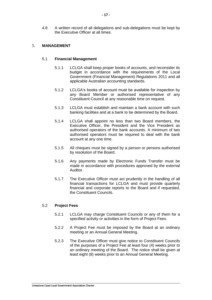4.8 A written record of all delegations and sub-delegations must be kept by the Executive Officer at all times.

### 5. **MANAGEMENT**

#### 5.1 **Financial Management**

- 5.1.1 LCLGA shall keep proper books of accounts, and reconsider its budget in accordance with the requirements of the Local Government (Financial Management) Regulations 2011 and all applicable Australian accounting standards.
- 5.1.2 LCLGA's books of account must be available for inspection by any Board Member or authorised representative of any Constituent Council at any reasonable time on request.
- 5.1.3 LCLGA must establish and maintain a bank account with such banking facilities and at a bank to be determined by the Board.
- 5.1.4 LCLGA shall appoint no less than two Board members, the Executive Officer, the President and the Vice President as authorised operators of the bank accounts. A minimum of two authorised operators must be required to deal with the bank account at any one time.
- 5.1.5 All cheques must be signed by a person or persons authorised by resolution of the Board.
- 5.1.6 Any payments made by Electronic Funds Transfer must be made in accordance with procedures approved by the external Auditor.
- 5.1.7 The Executive Officer must act prudently in the handling of all financial transactions for LCLGA and must provide quarterly financial and corporate reports to the Board and if requested, the Constituent Councils.

#### 5.2 **Project Fees**

- 5.2.1 LCLGA may charge Constituent Councils or any of them for a specified activity or activities in the form of Project Fees.
- 5.2.2 A Project Fee must be imposed by the Board at an ordinary meeting or an Annual General Meeting.
- 5.2.3 The Executive Officer must give notice to Constituent Councils of the purposes of a Project Fee at least four (4) weeks prior to an ordinary meeting of the Board. The notice shall be given at least eight (8) weeks prior to an Annual General Meeting.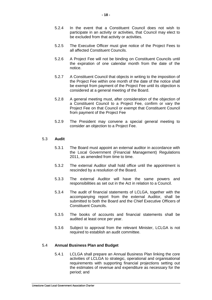- 5.2.4 In the event that a Constituent Council does not wish to participate in an activity or activities, that Council may elect to be excluded from that activity or activities.
- 5.2.5 The Executive Officer must give notice of the Project Fees to all affected Constituent Councils.
- 5.2.6 A Project Fee will not be binding on Constituent Councils until the expiration of one calendar month from the date of the notice.
- 5.2.7 A Constituent Council that objects in writing to the imposition of the Project Fee within one month of the date of the notice shall be exempt from payment of the Project Fee until its objection is considered at a general meeting of the Board.
- 5.2.8 A general meeting must, after consideration of the objection of a Constituent Council to a Project Fee, confirm or vary the Project Fee on that Council or exempt that Constituent Council from payment of the Project Fee
- 5.2.9 The President may convene a special general meeting to consider an objection to a Project Fee.

#### 5.3 **Audit**

- 5.3.1 The Board must appoint an external auditor in accordance with the Local Government (Financial Management) Regulations 2011, as amended from time to time.
- 5.3.2 The external Auditor shall hold office until the appointment is rescinded by a resolution of the Board.
- 5.3.3 The external Auditor will have the same powers and responsibilities as set out in the Act in relation to a Council.
- 5.3.4 The audit of financial statements of LCLGA, together with the accompanying report from the external Auditor, shall be submitted to both the Board and the Chief Executive Officers of Constituent Councils.
- 5.3.5 The books of accounts and financial statements shall be audited at least once per year.
- 5.3.6 Subject to approval from the relevant Minister, LCLGA is not required to establish an audit committee.

#### 5.4 **Annual Business Plan and Budget**

5.4.1 LCLGA shall prepare an Annual Business Plan linking the core activities of LCLGA to strategic, operational and organisational requirements with supporting financial projections setting out the estimates of revenue and expenditure as necessary for the period; and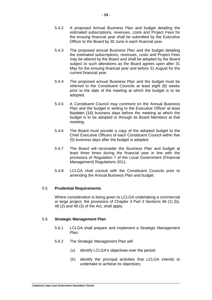**- 19 -**

- 5.4.2 A proposed Annual Business Plan and budget detailing the estimated subscriptions, revenues, costs and Project Fees for the ensuing financial year shall be submitted by the Executive Officer to the Board by 30 June in each financial year.
- 5.4.3 The proposed annual Business Plan and the budget detailing the estimated subscriptions, revenues, costs and Project Fees may be altered by the Board and shall be adopted by the Board subject to such alterations as the Board agrees upon after 31 May for the ensuing financial year and before 31 August for the current financial year.
- 5.4.4 The proposed annual Business Plan and the budget must be referred to the Constituent Councils at least eight (8) weeks prior to the date of the meeting at which the budget is to be adopted.
- 5.4.5 A Constituent Council may comment on the Annual Business Plan and the budget in writing to the Executive Officer at least fourteen (14) business days before the meeting at which the budget is to be adopted or through its Board Members at that meeting.
- 5.4.6 The Board must provide a copy of the adopted budget to the Chief Executive Officers of each Constituent Council within five (5) business days after the budget is adopted.
- 5.4.7 The Board will reconsider the Business Plan and budget at least three times during the financial year in line with the provisions of Regulation 7 of the Local Government (Financial Management) Regulations 2011.
- 5.4.8 LCLGA shall consult with the Constituent Councils prior to amending the Annual Business Plan and budget.

# 5.5 **Prudential Requirements**

Where consideration is being given to LCLGA undertaking a commercial or large project, the provisions of Chapter 4 Part 3 Sections 48 (1) (b), 48 (2) and 48 (3) of the Act, shall apply.

# 5.6 **Strategic Management Plan**

- 5.6.1 LCLGA shall prepare and implement a Strategic Management Plan.
- 5.6.2 The Strategic Management Plan will:
	- (a) identify LCLGA's objectives over the period;
	- (b) identify the principal activities that LCLGA intends to undertake to achieve its objectives;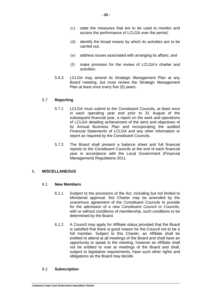- (c) state the measures that are to be used to monitor and access the performance of LCLGA over the period;
- (d) identify the broad means by which its activities are to be carried out;
- (e) address issues associated with arranging its affairs; and
- (f) make provision for the review of LCLGA's charter and activities.
- 5.6.3 LCLGA may amend its Strategic Management Plan at any Board meeting, but must review the Strategic Management Plan at least once every five (5) years.

# 5.7 **Reporting**

- 5.7.1 LCLGA must submit to the Constituent Councils, at least once in each operating year and prior to 31 August of the subsequent financial year, a report on the work and operations of LCLGA detailing achievement of the aims and objectives of its Annual Business Plan and incorporating the audited Financial Statements of LCLGA and any other information or report as required by the Constituent Councils.
- 5.7.2 The Board shall present a balance sheet and full financial reports to the Constituent Councils at the end of each financial year in accordance with the Local Government (Financial Management) Regulations 2011.

# 6. **MISCELLANEOUS**

# 6.1 **New Members**

- 6.1.1 Subject to the provisions of the Act, including but not limited to Ministerial approval, this Charter may be amended by the unanimous agreement of the Constituent Councils to provide for the admission of a new Constituent Council or Councils, with or without conditions of membership, such conditions to be determined by the Board.
- 6.1.2 A Council may apply for Affiliate status provided that the Board is satisfied that there is good reason for the Council not to be a full member. Subject to this Charter, an Affiliate shall be entitled to attend at all meetings of the Board and shall have an opportunity to speak to the meeting, however an Affiliate shall not be entitled to vote at meetings of the Board and shall, subject to legislative requirements, have such other rights and obligations as the Board may decide.

# 6.2 **Subscription**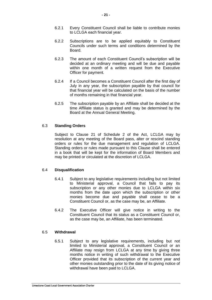- 6.2.1 Every Constituent Council shall be liable to contribute monies to LCLGA each financial year.
- 6.2.2 Subscriptions are to be applied equitably to Constituent Councils under such terms and conditions determined by the Board.
- 6.2.3 The amount of each Constituent Council's subscription will be decided at an ordinary meeting and will be due and payable within one month of a written request from the Executive Officer for payment.
- 6.2.4 If a Council becomes a Constituent Council after the first day of July in any year, the subscription payable by that council for that financial year will be calculated on the basis of the number of months remaining in that financial year.
- 6.2.5 The subscription payable by an Affiliate shall be decided at the time Affiliate status is granted and may be determined by the Board at the Annual General Meeting.

# 6.3 **Standing Orders**

Subject to Clause 21 of Schedule 2 of the Act, LCLGA may by resolution at any meeting of the Board pass, alter or rescind standing orders or rules for the due management and regulation of LCLGA. Standing orders or rules made pursuant to this Clause shall be entered in a book that will be kept for the information of Board Members and may be printed or circulated at the discretion of LCLGA.

# 6.4 **Disqualification**

- 6.4.1 Subject to any legislative requirements including but not limited to Ministerial approval, a Council that fails to pay its subscription or any other monies due to LCLGA within six months from the date upon which the subscription or other monies become due and payable shall cease to be a Constituent Council or, as the case may be, an Affiliate.
- 6.4.2 The Executive Officer will give notice in writing to the Constituent Council that its status as a Constituent Council or, as the case may be, an Affiliate, has been terminated.

# 6.5 **Withdrawal**

6.5.1 Subject to any legislative requirements, including but not limited to Ministerial approval, a Constituent Council or an Affiliate may resign from LCLGA at any time by giving three months notice in writing of such withdrawal to the Executive Officer provided that its subscription of the current year and other monies outstanding prior to the date of its giving notice of withdrawal have been paid to LCLGA.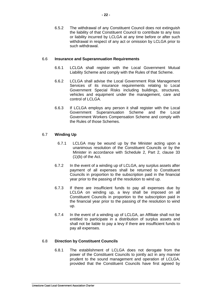6.5.2 The withdrawal of any Constituent Council does not extinguish the liability of that Constituent Council to contribute to any loss or liability incurred by LCLGA at any time before or after such withdrawal in respect of any act or omission by LCLGA prior to such withdrawal.

# 6.6 **Insurance and Superannuation Requirements**

- 6.6.1 LCLGA shall register with the Local Government Mutual Liability Scheme and comply with the Rules of that Scheme.
- 6.6.2 LCLGA shall advise the Local Government Risk Management Services of its insurance requirements relating to Local Government Special Risks including buildings, structures, vehicles and equipment under the management, care and control of LCLGA.
- 6.6.3 If LCLGA employs any person it shall register with the Local Government Superannuation Scheme and the Local Government Workers Compensation Scheme and comply with the Rules of those Schemes.

# 6.7 **Winding Up**

- 6.7.1 LCLGA may be wound up by the Minister acting upon a unanimous resolution of the Constituent Councils or by the Minister in accordance with Schedule 2, Part 2, clause 33  $(1)(b)$  of the Act.
- 6.7.2 In the event of a winding up of LCLGA, any surplus assets after payment of all expenses shall be returned to Constituent Councils in proportion to the subscription paid in the financial year prior to the passing of the resolution to wind up.
- 6.7.3 If there are insufficient funds to pay all expenses due by LCLGA on winding up, a levy shall be imposed on all Constituent Councils in proportion to the subscription paid in the financial year prior to the passing of the resolution to wind up.
- 6.7.4 In the event of a winding up of LCLGA, an Affiliate shall not be entitled to participate in a distribution of surplus assets and shall not be liable to pay a levy if there are insufficient funds to pay all expenses.

# 6.8 **Direction by Constituent Councils**

6.8.1 The establishment of LCLGA does not derogate from the power of the Constituent Councils to jointly act in any manner prudent to the sound management and operation of LCLGA, provided that the Constituent Councils have first agreed by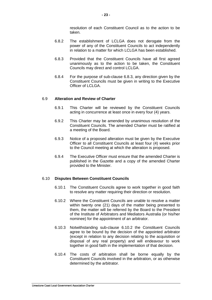resolution of each Constituent Council as to the action to be taken.

- 6.8.2 The establishment of LCLGA does not derogate from the power of any of the Constituent Councils to act independently in relation to a matter for which LCLGA has been established.
- <span id="page-22-0"></span>6.8.3 Provided that the Constituent Councils have all first agreed unanimously as to the action to be taken, the Constituent Councils may direct and control LCLGA.
- 6.8.4 For the purpose of sub-clause [6.8.3,](#page-22-0) any direction given by the Constituent Councils must be given in writing to the Executive Officer of LCLGA.

#### 6.9 **Alteration and Review of Charter**

- 6.9.1 This Charter will be reviewed by the Constituent Councils acting in concurrence at least once in every four (4) years.
- 6.9.2 This Charter may be amended by unanimous resolution of the Constituent Councils. The amended Charter must be ratified at a meeting of the Board.
- 6.9.3 Notice of a proposed alteration must be given by the Executive Officer to all Constituent Councils at least four (4) weeks prior to the Council meeting at which the alteration is proposed.
- 6.9.4 The Executive Officer must ensure that the amended Charter is published in the Gazette and a copy of the amended Charter provided to the Minister.

#### 6.10 **Disputes Between Constituent Councils**

- 6.10.1 The Constituent Councils agree to work together in good faith to resolve any matter requiring their direction or resolution.
- <span id="page-22-1"></span>6.10.2 Where the Constituent Councils are unable to resolve a matter within twenty one (21) days of the matter being presented to them, the matter will be referred by the Board to the President of the Institute of Arbitrators and Mediators Australia (or his/her nominee) for the appointment of an arbitrator.
- 6.10.3 Notwithstanding sub-clause [6.10.2](#page-22-1) the Constituent Councils agree to be bound by the decision of the appointed arbitrator (except in relation to any decision relating to the acquisition or disposal of any real property) and will endeavour to work together in good faith in the implementation of that decision.
- 6.10.4 The costs of arbitration shall be borne equally by the Constituent Councils involved in the arbitration, or as otherwise determined by the arbitrator.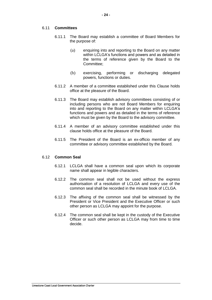# 6.11 **Committees**

- 6.11.1 The Board may establish a committee of Board Members for the purpose of:
	- (a) enquiring into and reporting to the Board on any matter within LCLGA's functions and powers and as detailed in the terms of reference given by the Board to the Committee;
	- (b) exercising, performing or discharging delegated powers, functions or duties.
- 6.11.2 A member of a committee established under this Clause holds office at the pleasure of the Board.
- 6.11.3 The Board may establish advisory committees consisting of or including persons who are not Board Members for enquiring into and reporting to the Board on any matter within LCLGA's functions and powers and as detailed in the terms of reference which must be given by the Board to the advisory committee.
- 6.11.4 A member of an advisory committee established under this clause holds office at the pleasure of the Board.
- 6.11.5 The President of the Board is an ex-officio member of any committee or advisory committee established by the Board.

#### 6.12 **Common Seal**

- 6.12.1 LCLGA shall have a common seal upon which its corporate name shall appear in legible characters.
- 6.12.2 The common seal shall not be used without the express authorisation of a resolution of LCLGA and every use of the common seal shall be recorded in the minute book of LCLGA.
- 6.12.3 The affixing of the common seal shall be witnessed by the President or Vice President and the Executive Officer or such other person as LCLGA may appoint for the purpose.
- 6.12.4 The common seal shall be kept in the custody of the Executive Officer or such other person as LCLGA may from time to time decide.